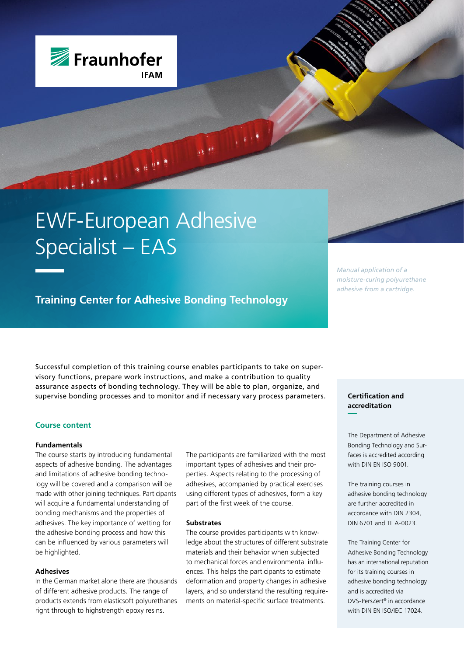

# EWF-European Adhesive Specialist – EAS

**Training Center for Adhesive Bonding Technology**

Successful completion of this training course enables participants to take on supervisory functions, prepare work instructions, and make a contribution to quality assurance aspects of bonding technology. They will be able to plan, organize, and supervise bonding processes and to monitor and if necessary vary process parameters.

## **Course content**

## **Fundamentals**

The course starts by introducing fundamental aspects of adhesive bonding. The advantages and limitations of adhesive bonding technology will be covered and a comparison will be made with other joining techniques. Participants will acquire a fundamental understanding of bonding mechanisms and the properties of adhesives. The key importance of wetting for the adhesive bonding process and how this can be influenced by various parameters will be highlighted.

## **Adhesives**

In the German market alone there are thousands of different adhesive products. The range of products extends from elasticsoft polyurethanes right through to highstrength epoxy resins.

The participants are familiarized with the most important types of adhesives and their properties. Aspects relating to the processing of adhesives, accompanied by practical exercises using different types of adhesives, form a key part of the first week of the course.

#### **Substrates**

The course provides participants with knowledge about the structures of different substrate materials and their behavior when subjected to mechanical forces and environmental influences. This helps the participants to estimate deformation and property changes in adhesive layers, and so understand the resulting requirements on material-specific surface treatments.

*Manual application of a moisture-curing polyurethane adhesive from a cartridge.*

# **Certification and accreditation**

The Department of Adhesive Bonding Technology and Surfaces is accredited according with DIN EN ISO 9001.

The training courses in adhesive bonding technology are further accredited in accordance with DIN 2304, DIN 6701 and TL A-0023.

The Training Center for Adhesive Bonding Technology has an international reputation for its training courses in adhesive bonding technology and is accredited via DVS-PersZert® in accordance with DIN EN ISO/IEC 17024.